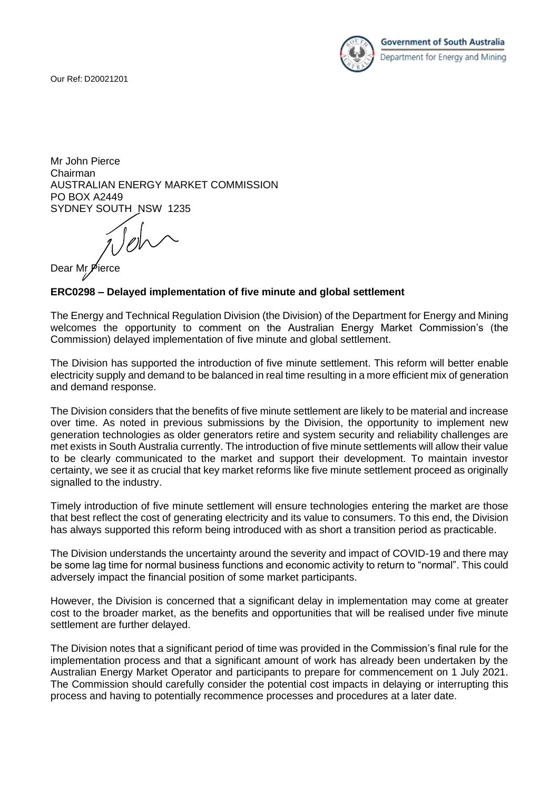Our Ref: D20021201



Mr John Pierce Chairman AUSTRALIAN ENERGY MARKET COMMISSION PO BOX A2449 SYDNEY SOUTH NSW 1235

 $\bigcap_{\ell\in\mathbb{Z}}\bigcup_{\ell\in\mathbb{Z}}\bigcap_{\ell\in\mathbb{Z}}\bigcap_{\ell\in\mathbb{Z}}\bigcap_{\ell\in\mathbb{Z}}\bigcap_{\ell\in\mathbb{Z}}\bigcap_{\ell\in\mathbb{Z}}\bigcap_{\ell\in\mathbb{Z}}\bigcap_{\ell\in\mathbb{Z}}\bigcap_{\ell\in\mathbb{Z}}\bigcap_{\ell\in\mathbb{Z}}\bigcap_{\ell\in\mathbb{Z}}\bigcap_{\ell\in\mathbb{Z}}\bigcap_{\ell\in\mathbb{Z}}\bigcap_{\ell\in\mathbb{Z}}\bigcap_{\ell\in\math$ 

Dear Mr P

## **ERC0298 – Delayed implementation of five minute and global settlement**

The Energy and Technical Regulation Division (the Division) of the Department for Energy and Mining welcomes the opportunity to comment on the Australian Energy Market Commission's (the Commission) delayed implementation of five minute and global settlement.

The Division has supported the introduction of five minute settlement. This reform will better enable electricity supply and demand to be balanced in real time resulting in a more efficient mix of generation and demand response.

The Division considers that the benefits of five minute settlement are likely to be material and increase over time. As noted in previous submissions by the Division, the opportunity to implement new generation technologies as older generators retire and system security and reliability challenges are met exists in South Australia currently. The introduction of five minute settlements will allow their value to be clearly communicated to the market and support their development. To maintain investor certainty, we see it as crucial that key market reforms like five minute settlement proceed as originally signalled to the industry.

Timely introduction of five minute settlement will ensure technologies entering the market are those that best reflect the cost of generating electricity and its value to consumers. To this end, the Division has always supported this reform being introduced with as short a transition period as practicable.

The Division understands the uncertainty around the severity and impact of COVID-19 and there may be some lag time for normal business functions and economic activity to return to "normal". This could adversely impact the financial position of some market participants.

However, the Division is concerned that a significant delay in implementation may come at greater cost to the broader market, as the benefits and opportunities that will be realised under five minute settlement are further delayed.

The Division notes that a significant period of time was provided in the Commission's final rule for the implementation process and that a significant amount of work has already been undertaken by the Australian Energy Market Operator and participants to prepare for commencement on 1 July 2021. The Commission should carefully consider the potential cost impacts in delaying or interrupting this process and having to potentially recommence processes and procedures at a later date.